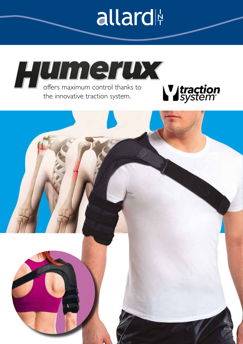## allard